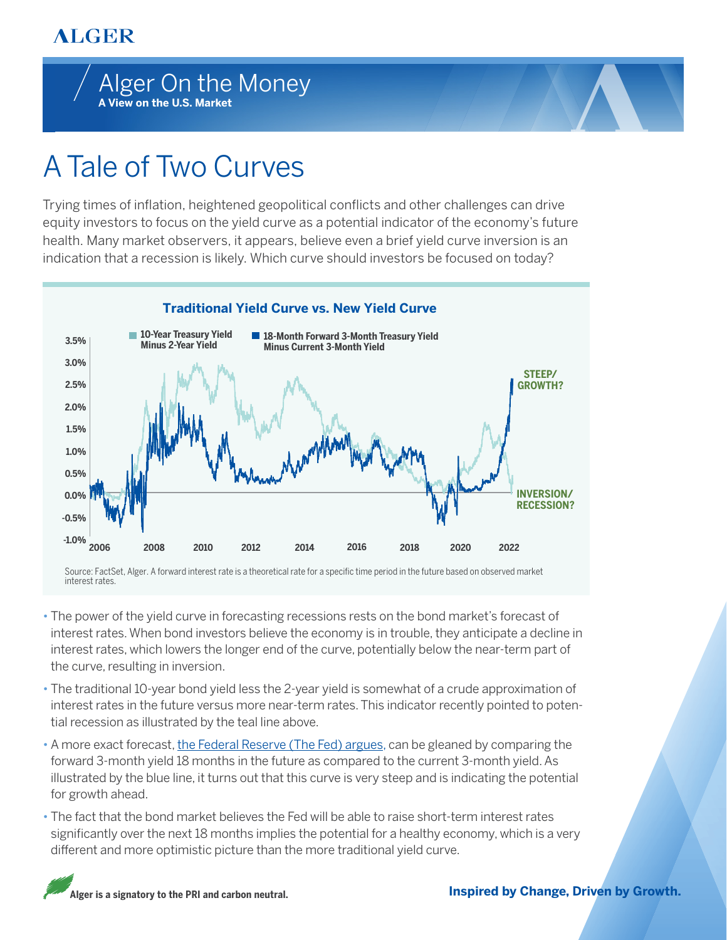## **ALGER**



## A Tale of Two Curves

Trying times of inflation, heightened geopolitical conflicts and other challenges can drive equity investors to focus on the yield curve as a potential indicator of the economy's future health. Many market observers, it appears, believe even a brief yield curve inversion is an indication that a recession is likely. Which curve should investors be focused on today?



Source: FactSet, Alger. A forward interest rate is a theoretical rate for a specific time period in the future based on observed market interest rates.

- The power of the yield curve in forecasting recessions rests on the bond market's forecast of interest rates. When bond investors believe the economy is in trouble, they anticipate a decline in interest rates, which lowers the longer end of the curve, potentially below the near-term part of the curve, resulting in inversion.
- The traditional 10-year bond yield less the 2-year yield is somewhat of a crude approximation of interest rates in the future versus more near-term rates. This indicator recently pointed to potential recession as illustrated by the teal line above.
- A more exact forecast[, the Federal Reserve \(The Fed\) argues, c](https://www.bloomberg.com/news/articles/2022-03-21/powell-says-look-at-short-term-yield-curve-for-recession-risk)an be gleaned by comparing the forward 3-month yield 18 months in the future as compared to the current 3-month yield. As illustrated by the blue line, it turns out that this curve is very steep and is indicating the potential for growth ahead.
- The fact that the bond market believes the Fed will be able to raise short-term interest rates significantly over the next 18 months implies the potential for a healthy economy, which is a very different and more optimistic picture than the more traditional yield curve.